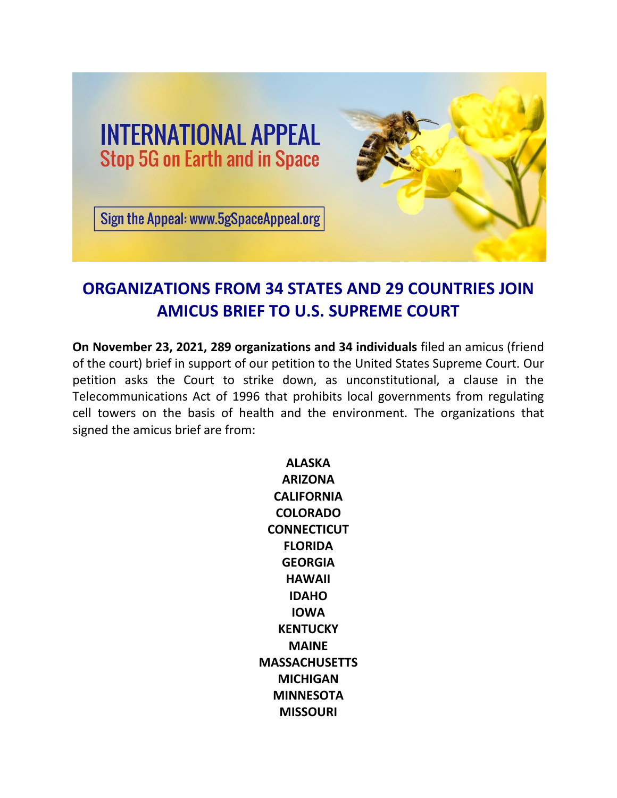

# **ORGANIZATIONS FROM 34 STATES AND 29 COUNTRIES JOIN AMICUS BRIEF TO U.S. SUPREME COURT**

**On November 23, 2021, 289 organizations and 34 individuals** filed an amicus (friend of the court) brief in support of our petition to the United States Supreme Court. Our petition asks the Court to strike down, as unconstitutional, a clause in the Telecommunications Act of 1996 that prohibits local governments from regulating cell towers on the basis of health and the environment. The organizations that signed the amicus brief are from:

> **ALASKA ARIZONA CALIFORNIA COLORADO CONNECTICUT FLORIDA GEORGIA HAWAII IDAHO IOWA KENTUCKY MAINE MASSACHUSETTS MICHIGAN MINNESOTA MISSOURI**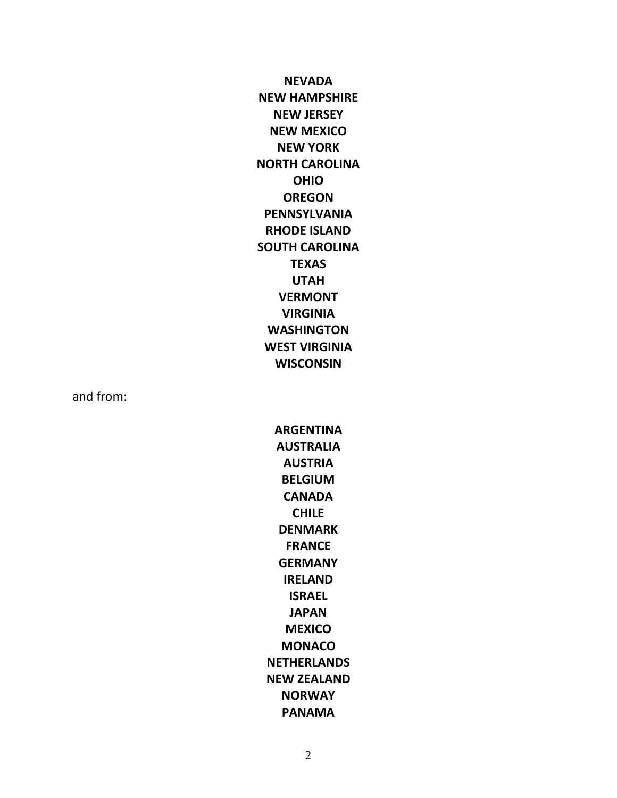**NEVADA NEW HAMPSHIRE NEW JERSEY NEW MEXICO NEW YORK NORTH CAROLINA OHIO OREGON** PENNSYLVANIA **RHODE ISLAND SOUTH CAROLINA TEXAS UTAH VERMONT VIRGINIA WASHINGTON WEST VIRGINIA WISCONSIN** 

and from:

**ARGENTINA AUSTRALIA AUSTRIA BELGIUM CANADA CHILE DENMARK FRANCE GERMANY IRELAND ISRAEL JAPAN MEXICO MONACO NETHERLANDS NEW ZEALAND NORWAY PANAMA**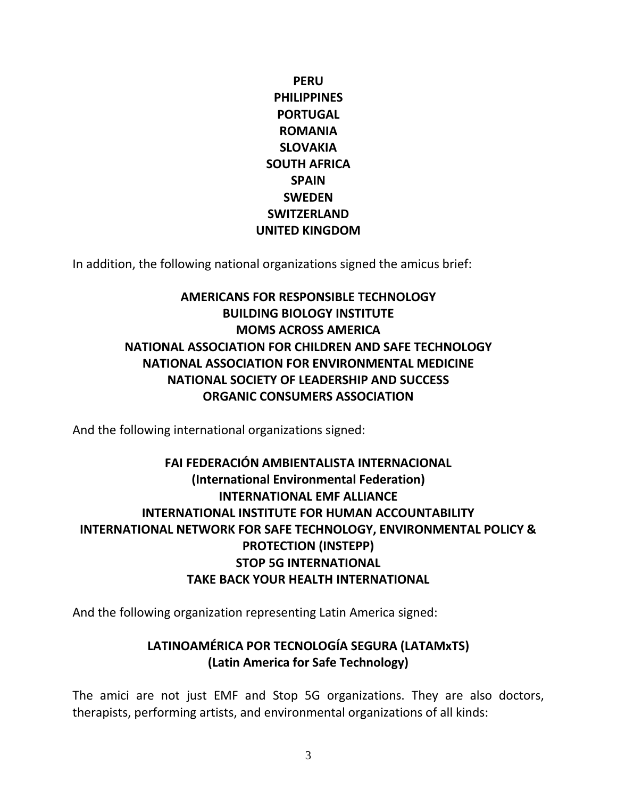**PERU PHILIPPINES PORTUGAL ROMANIA SLOVAKIA SOUTH AFRICA SPAIN SWEDEN SWITZERLAND UNITED KINGDOM**

In addition, the following national organizations signed the amicus brief:

#### **AMERICANS FOR RESPONSIBLE TECHNOLOGY BUILDING BIOLOGY INSTITUTE MOMS ACROSS AMERICA NATIONAL ASSOCIATION FOR CHILDREN AND SAFE TECHNOLOGY NATIONAL ASSOCIATION FOR ENVIRONMENTAL MEDICINE NATIONAL SOCIETY OF LEADERSHIP AND SUCCESS ORGANIC CONSUMERS ASSOCIATION**

And the following international organizations signed:

### **FAI FEDERACIÓN AMBIENTALISTA INTERNACIONAL (International Environmental Federation) INTERNATIONAL EMF ALLIANCE INTERNATIONAL INSTITUTE FOR HUMAN ACCOUNTABILITY INTERNATIONAL NETWORK FOR SAFE TECHNOLOGY, ENVIRONMENTAL POLICY & PROTECTION (INSTEPP) STOP 5G INTERNATIONAL TAKE BACK YOUR HEALTH INTERNATIONAL**

And the following organization representing Latin America signed:

### **LATINOAMÉRICA POR TECNOLOGÍA SEGURA (LATAMxTS) (Latin America for Safe Technology)**

The amici are not just EMF and Stop 5G organizations. They are also doctors, therapists, performing artists, and environmental organizations of all kinds: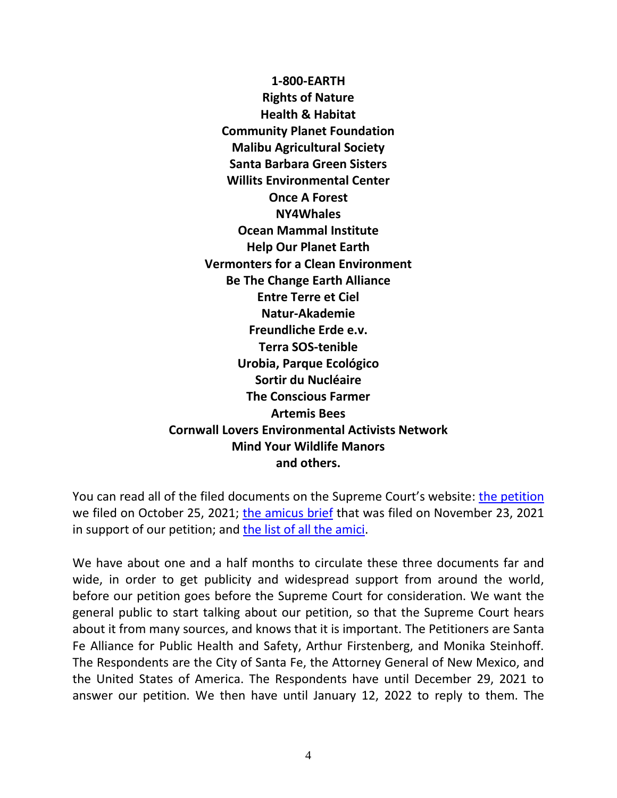**1-800-EARTH Rights of Nature Health & Habitat Community Planet Foundation Malibu Agricultural Society Santa Barbara Green Sisters Willits Environmental Center Once A Forest NY4Whales Ocean Mammal Institute Help Our Planet Earth Vermonters for a Clean Environment Be The Change Earth Alliance Entre Terre et Ciel Natur-Akademie Freundliche Erde e.v. Terra SOS-tenible Urobia, Parque Ecológico Sortir du Nucléaire The Conscious Farmer Artemis Bees Cornwall Lovers Environmental Activists Network Mind Your Wildlife Manors and others.**

You can read all of the filed documents on the Supreme Court's website: [the petition](https://www.supremecourt.gov/DocketPDF/21/21-629/196710/20211025140205639_Santa%20Fe%20Alliance%20Petition.pdf) we filed on October 25, 2021; [the amicus brief](https://www.supremecourt.gov/DocketPDF/21/21-629/201178/20211123153745013_41714%20pdf%20Gregory%20br.pdf) that was filed on November 23, 2021 in support of our petition; and [the list of all the amici.](https://www.supremecourt.gov/DocketPDF/21/21-629/201178/20211123153851603_41714%20pdf%20Gregory%20app.pdf)

We have about one and a half months to circulate these three documents far and wide, in order to get publicity and widespread support from around the world, before our petition goes before the Supreme Court for consideration. We want the general public to start talking about our petition, so that the Supreme Court hears about it from many sources, and knows that it is important. The Petitioners are Santa Fe Alliance for Public Health and Safety, Arthur Firstenberg, and Monika Steinhoff. The Respondents are the City of Santa Fe, the Attorney General of New Mexico, and the United States of America. The Respondents have until December 29, 2021 to answer our petition. We then have until January 12, 2022 to reply to them. The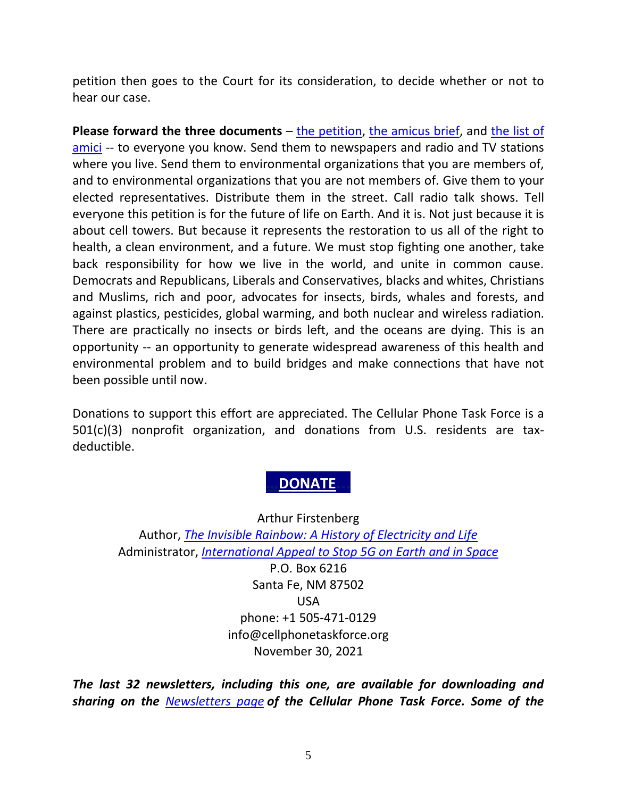petition then goes to the Court for its consideration, to decide whether or not to hear our case.

**Please forward the three documents** – [the petition,](https://www.supremecourt.gov/DocketPDF/21/21-629/196710/20211025140205639_Santa%20Fe%20Alliance%20Petition.pdf) [the amicus brief,](https://www.supremecourt.gov/DocketPDF/21/21-629/201178/20211123153745013_41714%20pdf%20Gregory%20br.pdf) and [the list of](https://www.supremecourt.gov/DocketPDF/21/21-629/201178/20211123153851603_41714%20pdf%20Gregory%20app.pdf)  [amici](https://www.supremecourt.gov/DocketPDF/21/21-629/201178/20211123153851603_41714%20pdf%20Gregory%20app.pdf) -- to everyone you know. Send them to newspapers and radio and TV stations where you live. Send them to environmental organizations that you are members of, and to environmental organizations that you are not members of. Give them to your elected representatives. Distribute them in the street. Call radio talk shows. Tell everyone this petition is for the future of life on Earth. And it is. Not just because it is about cell towers. But because it represents the restoration to us all of the right to health, a clean environment, and a future. We must stop fighting one another, take back responsibility for how we live in the world, and unite in common cause. Democrats and Republicans, Liberals and Conservatives, blacks and whites, Christians and Muslims, rich and poor, advocates for insects, birds, whales and forests, and against plastics, pesticides, global warming, and both nuclear and wireless radiation. There are practically no insects or birds left, and the oceans are dying. This is an opportunity -- an opportunity to generate widespread awareness of this health and environmental problem and to build bridges and make connections that have not been possible until now.

Donations to support this effort are appreciated. The Cellular Phone Task Force is a 501(c)(3) nonprofit organization, and donations from U.S. residents are taxdeductible.

## **…[DONATE](https://www.5gspaceappeal.org/donate)...**

Arthur Firstenberg Author, *[The Invisible Rainbow: A History of Electricity and Life](https://www.chelseagreen.com/product/the-invisible-rainbow/)* Administrator, *[International Appeal to Stop 5G on Earth and in Space](https://www.5gspaceappeal.org/)*

> P.O. Box 6216 Santa Fe, NM 87502 USA phone: +1 505-471-0129 info@cellphonetaskforce.org November 30, 2021

*The last 32 newsletters, including this one, are available for downloading and sharing on the [Newsletters page](https://www.cellphonetaskforce.org/newsletters/) of the Cellular Phone Task Force. Some of the*